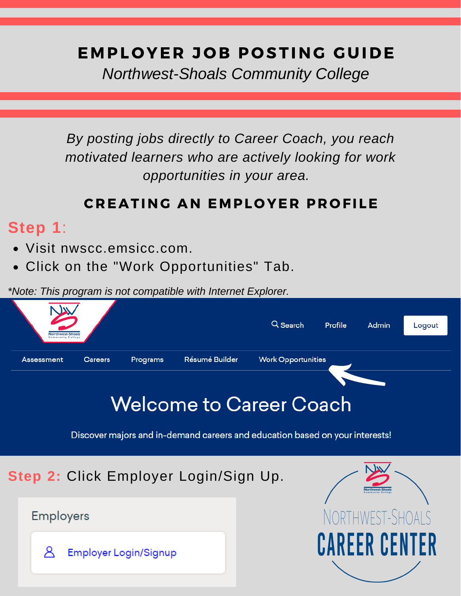# EMPLOYER JOB POSTING GUIDE

*Northwest-Shoals Community College*

*By posting jobs directly to Career Coach, you reach motivated learners who are actively looking for work opportunities in your area.*

### CREATING AN EMPLOYER PROFILE

# **Step 1**:

- Visit nwscc.emsicc.com.
- Click on the "Work Opportunities" Tab.

*\*Note: This program is not compatible with Internet Explorer.*



**Step 2:** Click Employer Login/Sign Up.

**Employers** 

Å **Employer Login/Signup**